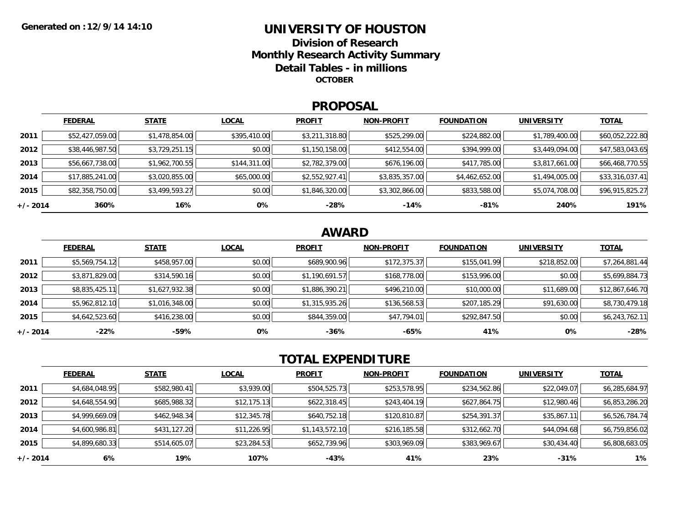### **UNIVERSITY OF HOUSTONDivision of ResearchMonthly Research Activity Summary Detail Tables - in millions OCTOBER**

#### **PROPOSAL**

|            | <b>FEDERAL</b>  | <b>STATE</b>   | <b>LOCAL</b> | <b>PROFIT</b>  | <b>NON-PROFIT</b> | <b>FOUNDATION</b> | UNIVERSITY     | <b>TOTAL</b>    |
|------------|-----------------|----------------|--------------|----------------|-------------------|-------------------|----------------|-----------------|
| 2011       | \$52,427,059.00 | \$1,478,854.00 | \$395,410.00 | \$3,211,318.80 | \$525,299.00      | \$224,882.00      | \$1,789,400.00 | \$60,052,222.80 |
| 2012       | \$38,446,987.50 | \$3,729,251.15 | \$0.00       | \$1,150,158.00 | \$412,554.00      | \$394,999.00      | \$3,449,094.00 | \$47,583,043.65 |
| 2013       | \$56,667,738.00 | \$1,962,700.55 | \$144,311.00 | \$2,782,379.00 | \$676,196.00      | \$417,785.00      | \$3,817,661.00 | \$66,468,770.55 |
| 2014       | \$17,885,241.00 | \$3,020,855.00 | \$65,000.00  | \$2,552,927.41 | \$3,835,357.00    | \$4,462,652.00    | \$1,494,005.00 | \$33,316,037.41 |
| 2015       | \$82,358,750.00 | \$3,499,593.27 | \$0.00       | \$1,846,320.00 | \$3,302,866.00    | \$833,588.00      | \$5,074,708.00 | \$96,915,825.27 |
| $+/- 2014$ | 360%            | 16%            | 0%           | $-28%$         | $-14%$            | $-81%$            | 240%           | 191%            |

## **AWARD**

|          | <b>FEDERAL</b> | <b>STATE</b>   | <b>LOCAL</b> | <b>PROFIT</b>  | <b>NON-PROFIT</b> | <b>FOUNDATION</b> | <b>UNIVERSITY</b> | <b>TOTAL</b>    |
|----------|----------------|----------------|--------------|----------------|-------------------|-------------------|-------------------|-----------------|
| 2011     | \$5,569,754.12 | \$458,957.00   | \$0.00       | \$689,900.96   | \$172,375.37      | \$155,041.99      | \$218,852.00      | \$7,264,881.44  |
| 2012     | \$3,871,829.00 | \$314,590.16   | \$0.00       | \$1,190,691.57 | \$168,778.00      | \$153,996.00      | \$0.00            | \$5,699,884.73  |
| 2013     | \$8,835,425.11 | \$1,627,932.38 | \$0.00       | \$1,886,390.21 | \$496,210.00      | \$10,000.00       | \$11,689.00       | \$12,867,646.70 |
| 2014     | \$5,962,812.10 | \$1,016,348.00 | \$0.00       | \$1,315,935.26 | \$136,568.53      | \$207,185.29      | \$91,630.00       | \$8,730,479.18  |
| 2015     | \$4,642,523.60 | \$416,238.00   | \$0.00       | \$844,359.00   | \$47,794.01       | \$292,847.50      | \$0.00            | \$6,243,762.11  |
| +/- 2014 | $-22\%$        | $-59%$         | 0%           | -36%           | -65%              | 41%               | 0%                | $-28%$          |

# **TOTAL EXPENDITURE**

|          | <b>FEDERAL</b> | <b>STATE</b> | <b>LOCAL</b> | <b>PROFIT</b>  | <b>NON-PROFIT</b> | <b>FOUNDATION</b> | <b>UNIVERSITY</b> | <b>TOTAL</b>   |
|----------|----------------|--------------|--------------|----------------|-------------------|-------------------|-------------------|----------------|
| 2011     | \$4,684,048.95 | \$582,980.41 | \$3,939.00   | \$504,525.73   | \$253,578.95      | \$234,562.86      | \$22,049.07       | \$6,285,684.97 |
| 2012     | \$4,648,554.90 | \$685,988.32 | \$12,175.13  | \$622,318.45   | \$243,404.19      | \$627,864.75      | \$12,980.46       | \$6,853,286.20 |
| 2013     | \$4,999,669.09 | \$462,948.34 | \$12,345.78  | \$640,752.18   | \$120,810.87      | \$254,391.37      | \$35,867.11       | \$6,526,784.74 |
| 2014     | \$4,600,986.81 | \$431,127.20 | \$11,226.95  | \$1,143,572.10 | \$216,185.58      | \$312,662.70      | \$44,094.68       | \$6,759,856.02 |
| 2015     | \$4,899,680.33 | \$514,605.07 | \$23,284.53  | \$652,739.96   | \$303,969.09      | \$383,969.67      | \$30,434.40       | \$6,808,683.05 |
| +/- 2014 | 6%             | 19%          | 107%         | -43%           | 41%               | 23%               | $-31%$            | $1\%$          |